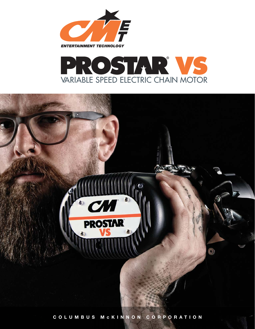



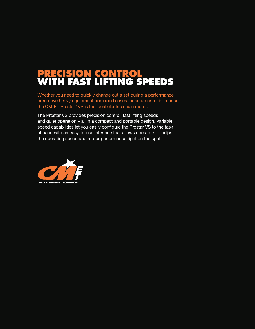# **PRECISION CONTROL WITH FAST LIFTING SPEEDS**

Whether you need to quickly change out a set during a performance or remove heavy equipment from road cases for setup or maintenance, the CM-ET Prostar<sup>®</sup> VS is the ideal electric chain motor.

The Prostar VS provides precision control, fast lifting speeds and quiet operation – all in a compact and portable design. Variable speed capabilities let you easily configure the Prostar VS to the task at hand with an easy-to-use interface that allows operators to adjust the operating speed and motor performance right on the spot.

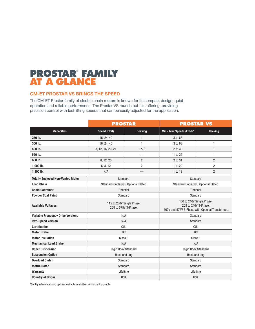# **PROSTAR® FAMILY AT A GLANCE**

# **CM-ET PROSTAR VS BRINGS THE SPEED**

The CM-ET Prostar family of electric chain motors is known for its compact design, quiet operation and reliable performance. The Prostar VS rounds out this offering, providing precision control with fast lifting speeds that can be easily adjusted for the application.

|                                          |                                                   | <b>PROSTAR</b>                                                                                        |                         | <b>PROSTAR VS</b>                   |  |  |  |
|------------------------------------------|---------------------------------------------------|-------------------------------------------------------------------------------------------------------|-------------------------|-------------------------------------|--|--|--|
| <b>Capacities</b>                        | <b>Speed (FPM)</b>                                | Reeving                                                                                               | Min - Max Speeds (FPM)* | Reeving                             |  |  |  |
| 250 lb.                                  | 16, 24, 40                                        | $\mathbf{1}$                                                                                          | 3 to 63                 | $\mathbf{1}$                        |  |  |  |
| 300 lb.                                  | 16, 24, 40                                        | 1                                                                                                     | 3 to 63                 | 1                                   |  |  |  |
| 500 lb.                                  | 8, 12, 16, 20, 24                                 | 1 & 2                                                                                                 | 2 to 39                 | $\mathbf{1}$                        |  |  |  |
| 550 lb.                                  |                                                   |                                                                                                       | 1 to 26                 | 1                                   |  |  |  |
| 600 lb.                                  | 8, 12, 20                                         | $\overline{2}$                                                                                        | 2 to 31                 | $\overline{2}$                      |  |  |  |
| 1,000 lb.                                | 6, 8, 12                                          | $\overline{2}$                                                                                        | 1 to 20                 | $\overline{2}$                      |  |  |  |
| 1,100 lb.                                | N/A                                               |                                                                                                       | 1 to 13                 | $\overline{2}$                      |  |  |  |
| <b>Totally Enclosed Non-Vented Motor</b> | Standard                                          |                                                                                                       | Standard                |                                     |  |  |  |
| <b>Load Chain</b>                        | Standard Unplated / Optional Plated               |                                                                                                       |                         | Standard Unplated / Optional Plated |  |  |  |
| <b>Chain Container</b>                   | <b>Optional</b>                                   |                                                                                                       |                         | <b>Optional</b>                     |  |  |  |
| <b>Powder Coat Paint</b>                 | Standard                                          |                                                                                                       |                         | Standard                            |  |  |  |
| <b>Available Voltages</b>                | 115 to 230V Single Phase.<br>208 to 575V 3-Phase. | 100 to 240V Single Phase.<br>208 to 240V 3-Phase.<br>460V and 575V 3-Phase with Optional Transformer. |                         |                                     |  |  |  |
| <b>Variable Frequency Drive Versions</b> |                                                   | N/A<br>Standard                                                                                       |                         |                                     |  |  |  |
| <b>Two-Speed Version</b>                 | N/A                                               |                                                                                                       | Standard                |                                     |  |  |  |
| <b>Certification</b>                     | <b>CUL</b>                                        |                                                                                                       | <b>CUL</b>              |                                     |  |  |  |
| <b>Motor Brake</b>                       | <b>DC</b>                                         |                                                                                                       |                         | <b>DC</b>                           |  |  |  |
| <b>Motor Insulation</b>                  |                                                   | Class B                                                                                               |                         | Class <sub>F</sub>                  |  |  |  |
| <b>Mechanical Load Brake</b>             | N/A                                               |                                                                                                       | N/A                     |                                     |  |  |  |
| <b>Upper Suspension</b>                  | Rigid Hook Standard                               |                                                                                                       | Rigid Hook Standard     |                                     |  |  |  |
| <b>Suspension Option</b>                 | Hook and Lug                                      |                                                                                                       | Hook and Lug            |                                     |  |  |  |
| <b>Overload Clutch</b>                   | Standard                                          |                                                                                                       |                         | Standard                            |  |  |  |
| <b>Metric Rated</b>                      | Standard<br>Standard                              |                                                                                                       |                         |                                     |  |  |  |
| <b>Warranty</b>                          | Lifetime                                          |                                                                                                       |                         | Lifetime                            |  |  |  |
| <b>Country of Origin</b>                 | <b>USA</b>                                        |                                                                                                       |                         | <b>USA</b>                          |  |  |  |

\*Confi gurable codes and options available in addition to standard products.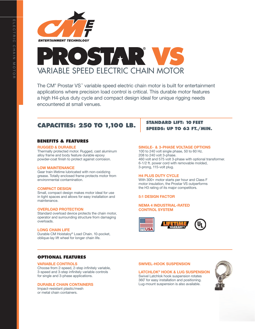



The CM® Prostar VS™ variable speed electric chain motor is built for entertainment applications where precision load control is critical. This durable motor features a high H4-plus duty cycle and compact design ideal for unique rigging needs encountered at small venues.

# **CAPACITIES: 250 TO 1,100 LB.**

# **BENEFITS & FEATURES**

#### **RUGGED & DURABLE**

Thermally protected motor. Rugged, cast aluminum alloy frame and body feature durable epoxy powder-coat finish to protect against corrosion.

### **LOW MAINTENANCE**

Gear train lifetime lubricated with non-oxidizing grease. Totally enclosed frame protects motor from environmental contamination.

#### **COMPACT DESIGN**

Small, compact design makes motor ideal for use in tight spaces and allows for easy installation and maintenance.

#### **OVERLOAD PROTECTION**

Standard overload device protects the chain motor, operator and surrounding structure from damaging overloads.

#### **LONG CHAIN LIFE**

Durable CM Hoistaloy® Load Chain. 10-pocket, oblique-lay lift wheel for longer chain life.

# **STANDARD LIFT: 10 FEET SPEEDS: UP TO 63 FT./MIN.**

## **SINGLE- & 3-PHASE VOLTAGE OPTIONS**

100 to 240 volt single phase, 50 to 60 Hz. 208 to 240 volt 3-phase. 460 volt and 575 volt 3-phase with optional transformer. 6-1/2 ft. power cord with removable molded, 3-prong, 115-volt plug.

## **H4 PLUS DUTY CYCLE**

With 300+ motor starts per hour and Class F motor insulation, the Prostar VS outperforms the H3 rating of its major competitors.

# **5:1 DESIGN FACTOR**

# **NEMA 4 INDUSTRIAL-RATED CONTROL SYSTEM**



# **OPTIONAL FEATURES**

#### **VARIABLE CONTROLS**

Choose from 2-speed, 2-step infinitely variable, 3-speed and 3-step infinitely variable controls for single and 3-phase applications.

### **DURABLE CHAIN CONTAINERS**

Impact-resistant plastic/mesh or metal chain containers.

#### **SWIVEL-HOOK SUSPENSION**

#### **LATCHLOK® HOOK & LUG SUSPENSION**

Swivel Latchlok hook suspension rotates 360˚ for easy installation and positioning. Lug-mount suspension is also available.

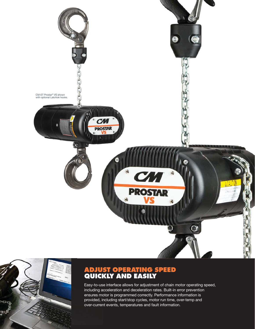



#### **ADJUST OPERATING SPEED QUICKLY AND EASILY ADJUS QUICK**

Easy-to-use interface allows for adjustment of chain motor operating speed, Easy-to-us including acceleration and deceleration rates. Built-in error prevention a ensures motor is programmed correctly. Performance information is provided, including start/stop cycles, motor run time, over-temp and over-current events, temperatures and fault information. over-curren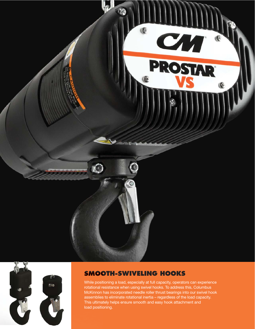



# **SMOOTH-SWIVELING HOOKS SMOO**

While positioning a load, especially at full capacity, operators can experience rotational resistance when using swivel hooks. To address this, Columbus McKinnon has incorporated needle roller thrust bearings into our swivel hook assemblies to eliminate rotational inertia – regardless of the load capacity. assemblies This ultimately helps ensure smooth and easy hook attachment and load positioning.